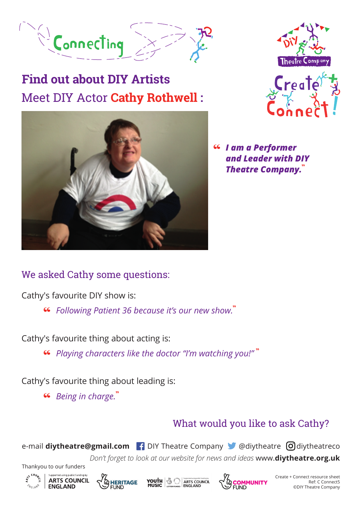

# Meet DIY Actor **Cathy Rothwell : Find out about DIY Artists**





"  *I am a Performer and Leader with DIY Theatre Company.*"

#### We asked Cathy some questions:

Cathy's favourite DIY show is:

" *Following Patient 36 because it's our new show.*"

Cathy's favourite thing about acting is:

" *Playing characters like the doctor "I'm watching you!"* "

Cathy's favourite thing about leading is:

" *Being in charge.*"

### What would you like to ask Cathy?

e-mail **diytheatre@gmail.com P** DIY Theatre Company **C** @diytheatre **O** diytheatreco

*Don't forget to look at our website for news and ideas* www.**diytheatre.org.uk**





Thankyou to our funders







A Create + Connect resource sheet Ref: C Connect5 ©DIY Theatre Company